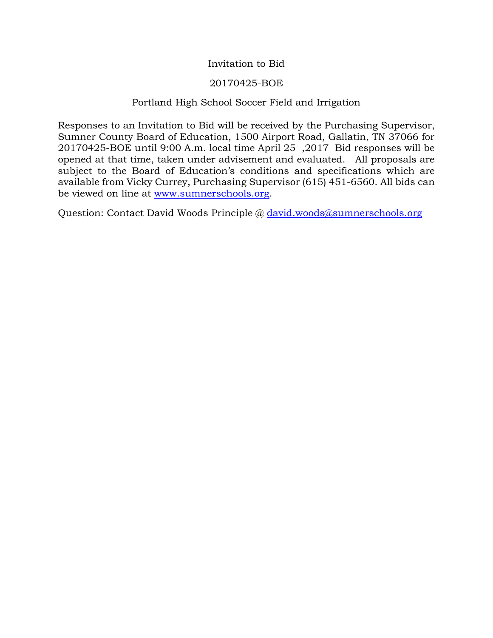## Invitation to Bid

## 20170425-BOE

## Portland High School Soccer Field and Irrigation

Responses to an Invitation to Bid will be received by the Purchasing Supervisor, Sumner County Board of Education, 1500 Airport Road, Gallatin, TN 37066 for 20170425-BOE until 9:00 A.m. local time April 25 ,2017 Bid responses will be opened at that time, taken under advisement and evaluated. All proposals are subject to the Board of Education's conditions and specifications which are available from Vicky Currey, Purchasing Supervisor (615) 451-6560. All bids can be viewed on line at [www.sumnerschools.org.](http://www.sumnerschools.org/)

Question: Contact David Woods Principle @ [david.woods@sumnerschools.org](mailto:david.woods@sumnerschools.org)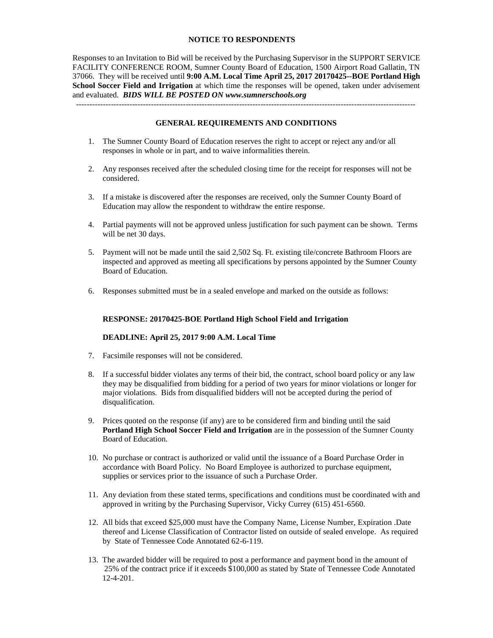#### **NOTICE TO RESPONDENTS**

Responses to an Invitation to Bid will be received by the Purchasing Supervisor in the SUPPORT SERVICE FACILITY CONFERENCE ROOM, Sumner County Board of Education, 1500 Airport Road Gallatin, TN 37066. They will be received until **9:00 A.M. Local Time April 25, 2017 20170425--BOE Portland High School Soccer Field and Irrigation** at which time the responses will be opened, taken under advisement and evaluated. *BIDS WILL BE POSTED ON www.sumnerschools.org*

#### **GENERAL REQUIREMENTS AND CONDITIONS**

-------------------------------------------------------------------------------------------------------------------------------

- 1. The Sumner County Board of Education reserves the right to accept or reject any and/or all responses in whole or in part, and to waive informalities therein.
- 2. Any responses received after the scheduled closing time for the receipt for responses will not be considered.
- 3. If a mistake is discovered after the responses are received, only the Sumner County Board of Education may allow the respondent to withdraw the entire response.
- 4. Partial payments will not be approved unless justification for such payment can be shown. Terms will be net 30 days.
- 5. Payment will not be made until the said 2,502 Sq. Ft. existing tile/concrete Bathroom Floors are inspected and approved as meeting all specifications by persons appointed by the Sumner County Board of Education.
- 6. Responses submitted must be in a sealed envelope and marked on the outside as follows:

#### **RESPONSE: 20170425-BOE Portland High School Field and Irrigation**

#### **DEADLINE: April 25, 2017 9:00 A.M. Local Time**

- 7. Facsimile responses will not be considered.
- 8. If a successful bidder violates any terms of their bid, the contract, school board policy or any law they may be disqualified from bidding for a period of two years for minor violations or longer for major violations. Bids from disqualified bidders will not be accepted during the period of disqualification.
- 9. Prices quoted on the response (if any) are to be considered firm and binding until the said **Portland High School Soccer Field and Irrigation** are in the possession of the Sumner County Board of Education.
- 10. No purchase or contract is authorized or valid until the issuance of a Board Purchase Order in accordance with Board Policy. No Board Employee is authorized to purchase equipment, supplies or services prior to the issuance of such a Purchase Order.
- 11. Any deviation from these stated terms, specifications and conditions must be coordinated with and approved in writing by the Purchasing Supervisor, Vicky Currey (615) 451-6560.
- 12. All bids that exceed \$25,000 must have the Company Name, License Number, Expiration .Date thereof and License Classification of Contractor listed on outside of sealed envelope. As required by State of Tennessee Code Annotated 62-6-119.
- 13. The awarded bidder will be required to post a performance and payment bond in the amount of 25% of the contract price if it exceeds \$100,000 as stated by State of Tennessee Code Annotated 12-4-201.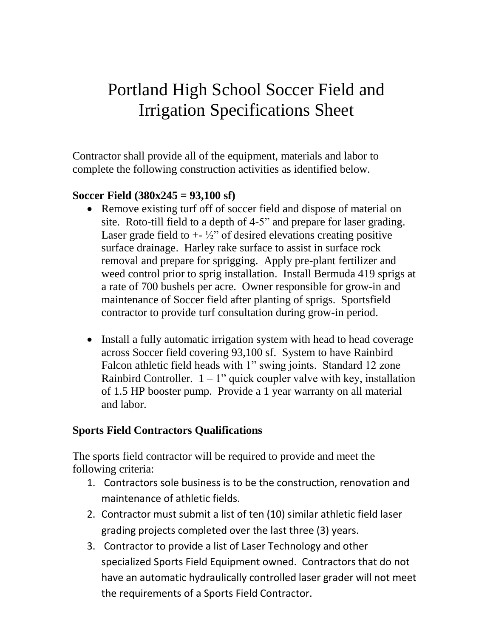# Portland High School Soccer Field and Irrigation Specifications Sheet

Contractor shall provide all of the equipment, materials and labor to complete the following construction activities as identified below.

# **Soccer Field (380x245 = 93,100 sf)**

- Remove existing turf off of soccer field and dispose of material on site. Roto-till field to a depth of 4-5" and prepare for laser grading. Laser grade field to  $+$   $\frac{1}{2}$ " of desired elevations creating positive surface drainage. Harley rake surface to assist in surface rock removal and prepare for sprigging. Apply pre-plant fertilizer and weed control prior to sprig installation. Install Bermuda 419 sprigs at a rate of 700 bushels per acre. Owner responsible for grow-in and maintenance of Soccer field after planting of sprigs. Sportsfield contractor to provide turf consultation during grow-in period.
- Install a fully automatic irrigation system with head to head coverage across Soccer field covering 93,100 sf. System to have Rainbird Falcon athletic field heads with 1" swing joints. Standard 12 zone Rainbird Controller.  $1 - 1$ " quick coupler valve with key, installation of 1.5 HP booster pump. Provide a 1 year warranty on all material and labor.

# **Sports Field Contractors Qualifications**

The sports field contractor will be required to provide and meet the following criteria:

- 1. Contractors sole business is to be the construction, renovation and maintenance of athletic fields.
- 2. Contractor must submit a list of ten (10) similar athletic field laser grading projects completed over the last three (3) years.
- 3. Contractor to provide a list of Laser Technology and other specialized Sports Field Equipment owned. Contractors that do not have an automatic hydraulically controlled laser grader will not meet the requirements of a Sports Field Contractor.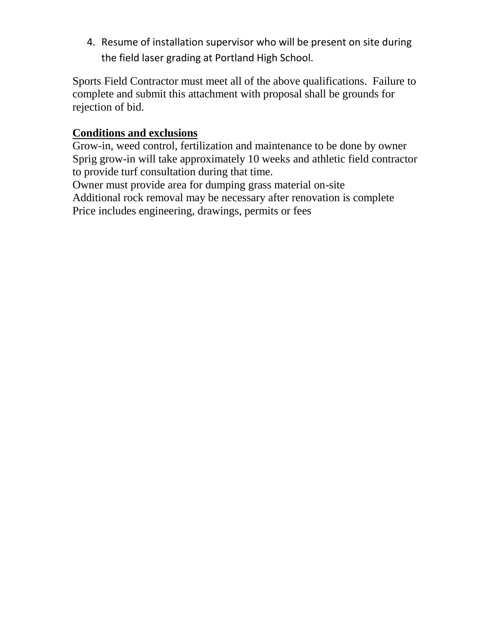4. Resume of installation supervisor who will be present on site during the field laser grading at Portland High School.

Sports Field Contractor must meet all of the above qualifications. Failure to complete and submit this attachment with proposal shall be grounds for rejection of bid.

# **Conditions and exclusions**

Grow-in, weed control, fertilization and maintenance to be done by owner Sprig grow-in will take approximately 10 weeks and athletic field contractor to provide turf consultation during that time.

Owner must provide area for dumping grass material on-site Additional rock removal may be necessary after renovation is complete Price includes engineering, drawings, permits or fees